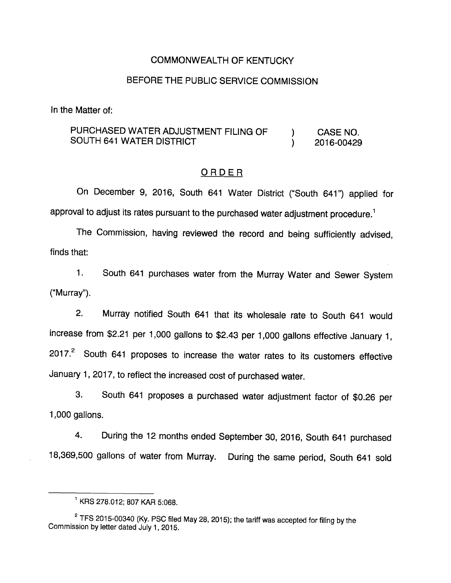### COMMONWEALTH OF KENTUCKY

## BEFORE THE PUBLIC SERVICE COMMISSION

In the Matter of:

## PURCHASED WATER ADJUSTMENT FILING OF  $\qquad$  ) CASE NO. SOUTH 641 WATER DISTRICT (2016-00429

#### ORDER

On December 9, 2016, South 641 Water District ("South 641") applied for approval to adjust its rates pursuant to the purchased water adjustment procedure.<sup>1</sup>

The Commission, having reviewed the record and being sufficiently advised, finds that:

1. South 641 purchases water from the Murray Water and Sewer System ("Murray").

2. Murray notified South 641 that its wholesale rate to South 641 would increase from \$2.21 per 1,000 gallons to \$2.43 per 1,000 gallons effective January 1,  $2017.<sup>2</sup>$  South 641 proposes to increase the water rates to its customers effective January 1, 2017, to reflect the increased cost of purchased water.

3. South 641 proposes a purchased water adjustment factor of \$0.26 per 1,000 gallons.

4. During the 12 months ended September 30, 2016, South 641 purchased 18,369,500 gallons of water from Murray. During the same period. South 641 sold

 $^1$  KRS 278.012; 807 KAR 5:068.

 $2$  TFS 2015-00340 (Ky. PSC filed May 28, 2015); the tariff was accepted for filing by the Commission by letter dated July 1, 2015.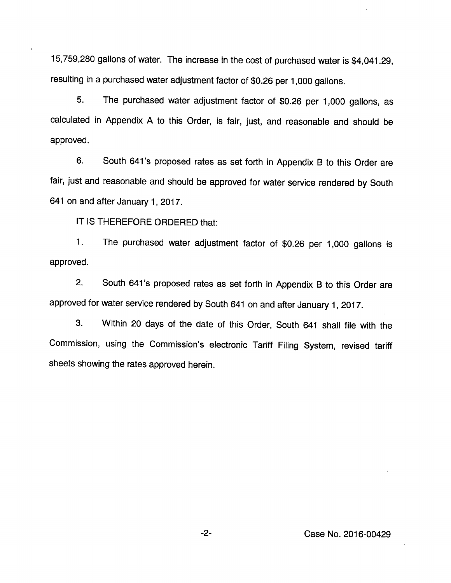15,759,280 gallons of water. The increase in the cost of purchased water is \$4,041.29, resulting in a purchased water adjustment factor of \$0.26 per 1,000 gallons.

5. The purchased water adjustment factor of \$0.26 per 1,000 gallons, as calculated in Appendix A to this Order, is fair, just, and reasonable and should be approved.

6. South 641 's proposed rates as set forth in Appendix B to this Order are fair, just and reasonable and should be approved for water service rendered by South 641 on and after January 1, 2017.

IT IS THEREFORE ORDERED that:

1. The purchased water adjustment factor of \$0.26 per 1,000 gallons is approved.

2. South 641's proposed rates as set forth in Appendix B to this Order are approved for water service rendered by South 641 on and after January 1, 2017.

3. Within 20 days of the date of this Order, South 641 shall file with the Commission, using the Commission's electronic Tariff Filing System, revised tariff sheets showing the rates approved herein.

-2- Case No. 2016-00429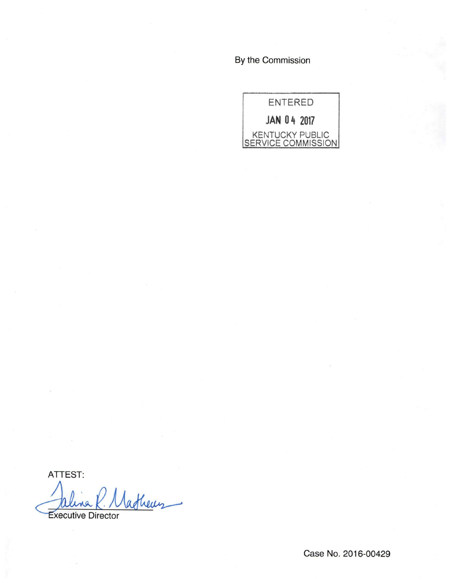By the Commission



ATTEST:

afheus

Executive Director

Case No. 2016-00429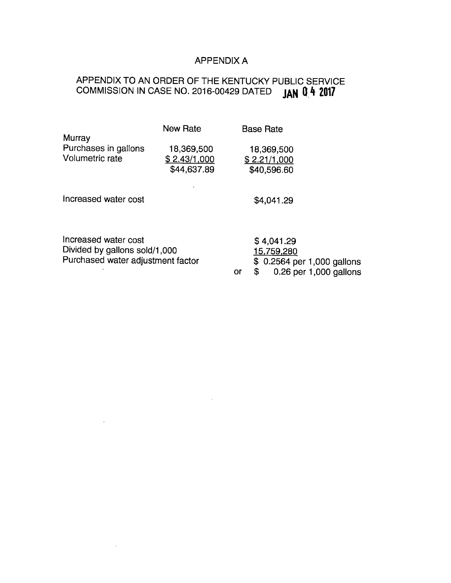# APPENDIX A

### APPENDIX TO AN ORDER OF THE KENTUCKY PUBLIC SERVICE COMMISSION IN CASE NO. 2016-00429 DATED (AN 0 4 2017

|                                   | <b>New Rate</b> | <b>Base Rate</b> |                     |
|-----------------------------------|-----------------|------------------|---------------------|
| Murray                            | 18,369,500      | 18,369,500       |                     |
| Purchases in gallons              | \$2.43/1,000    | \$2.21/1,000     |                     |
| Volumetric rate                   | \$44,637.89     | \$40,596.60      |                     |
| Increased water cost              |                 | \$4,041.29       |                     |
| Increased water cost              |                 | \$4,041.29       | 15,759,280          |
| Divided by gallons sold/1,000     |                 | \$               | \$ 0.2564 per 1,000 |
| Purchased water adjustment factor |                 | or               | 0.26 per 1,000      |

 $\sim$   $\sim$ 

 $\bar{z}$ 

gallons gallons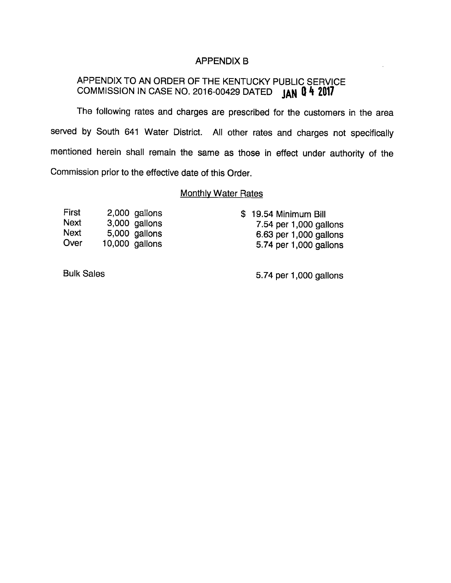### APPENDIX B

# APPENDIX TO AN ORDER OF THE KENTUCKY PUBLIC SERVICE COMMISSION IN CASE NO. 2016-00429 DATED  $JAN$   $4$  2017

The following rates and charges are prescribed for the customers in the area served by South 641 Water District. All other rates and charges not specifically mentioned herein shall remain the same as those in effect under authority of the Commission prior to the effective date of this Order.

#### **Monthly Water Rates**

| First       | 2,000 gallons    | \$19.54 Minimum Bill   |
|-------------|------------------|------------------------|
| <b>Next</b> | 3,000 gallons    | 7.54 per 1,000 gallons |
| Next        | 5,000 gallons    | 6.63 per 1,000 gallons |
| Over        | $10,000$ gallons | 5.74 per 1,000 gallons |

Bulk Sales 6.74 per 1,000 gallons